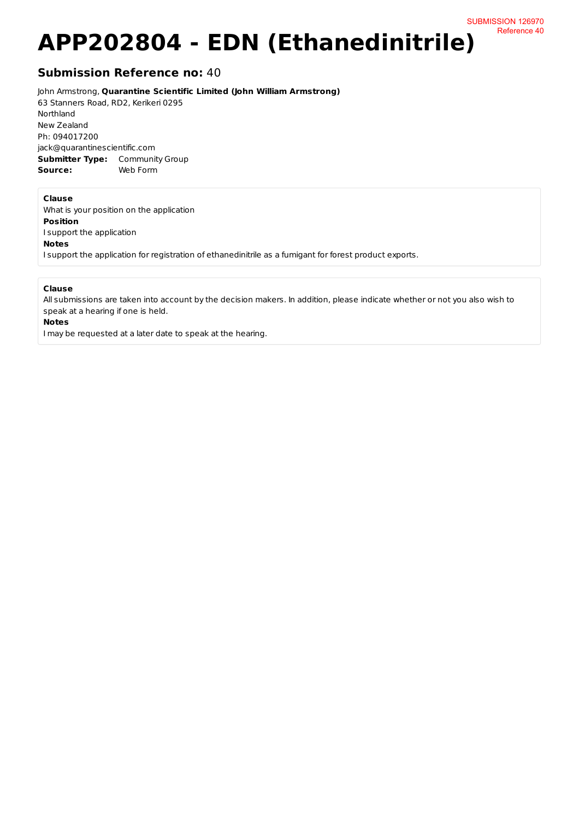# **APP202804 - EDN (Ethanedinitrile)**

## **Submission Reference no: 40**

John Armstrong, **Quarantine Scientific Limited (John William Armstrong)** 

63 Stanners Road, RD2, Kerikeri 0295 Northland New Zealand Ph: 094017200 jack@quarantinescientific.com **Submitter Type:** Community Group Source: Web Form

#### **Clause**

What is your position on the application **Position** I support the application **Notes** I support the application for registration of ethanedinitrile as a fumigant for forest product exports.

### **Clause**

All submissions are taken into account by the decision makers. In addition, please indicate whether or not you also wish to speak at a hearing if one is held.

#### **Notes**

I may be requested at a later date to speak at the hearing.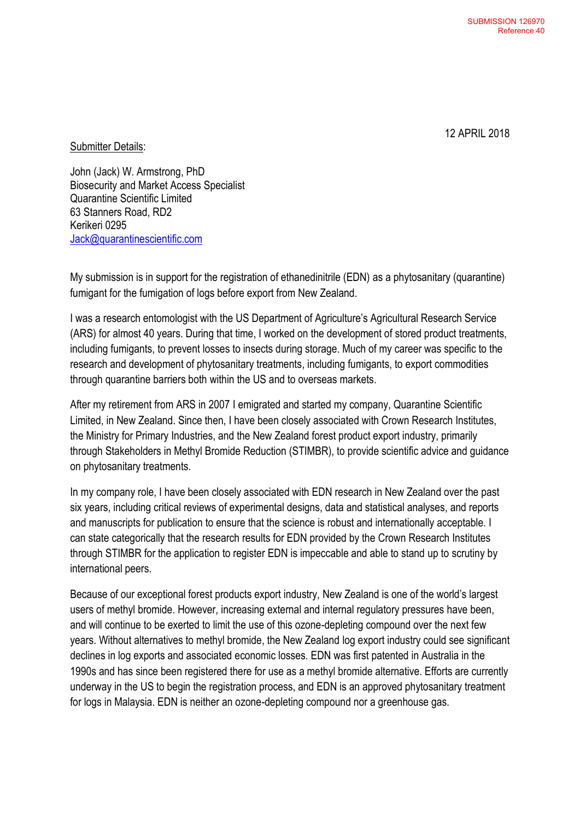12 APRIL 2018

Submitter Details:

John (Jack) W. Armstrong, PhD Biosecurity and Market Access Specialist Quarantine Scientific Limited 63 Stanners Road, RD2 Kerikeri 0295 [Jack@quarantinescientific.com](mailto:Jack@quarantinescientific.com)

My submission is in support for the registration of ethanedinitrile (EDN) as a phytosanitary (quarantine) fumigant for the fumigation of logs before export from New Zealand.

I was a research entomologist with the US Department of Agriculture's Agricultural Research Service (ARS) for almost 40 years. During that time, I worked on the development of stored product treatments, including fumigants, to prevent losses to insects during storage. Much of my career was specific to the research and development of phytosanitary treatments, including fumigants, to export commodities through quarantine barriers both within the US and to overseas markets.

After my retirement from ARS in 2007 I emigrated and started my company, Quarantine Scientific Limited, in New Zealand. Since then, I have been closely associated with Crown Research Institutes, the Ministry for Primary Industries, and the New Zealand forest product export industry, primarily through Stakeholders in Methyl Bromide Reduction (STIMBR), to provide scientific advice and guidance on phytosanitary treatments.

In my company role, I have been closely associated with EDN research in New Zealand over the past six years, including critical reviews of experimental designs, data and statistical analyses, and reports and manuscripts for publication to ensure that the science is robust and internationally acceptable. I can state categorically that the research results for EDN provided by the Crown Research Institutes through STIMBR for the application to register EDN is impeccable and able to stand up to scrutiny by international peers.

Because of our exceptional forest products export industry, New Zealand is one of the world's largest users of methyl bromide. However, increasing external and internal regulatory pressures have been, and will continue to be exerted to limit the use of this ozone-depleting compound over the next few years. Without alternatives to methyl bromide, the New Zealand log export industry could see significant declines in log exports and associated economic losses. EDN was first patented in Australia in the 1990s and has since been registered there for use as a methyl bromide alternative. Efforts are currently underway in the US to begin the registration process, and EDN is an approved phytosanitary treatment for logs in Malaysia. EDN is neither an ozone-depleting compound nor a greenhouse gas.